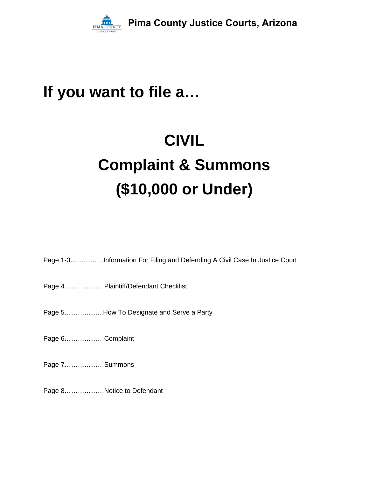

## **If you want to file a…**

# **CIVIL Complaint & Summons (\$10,000 or Under)**

Page 1-3……………Information For Filing and Defending A Civil Case In Justice Court

Page 4………………Plaintiff/Defendant Checklist

Page 5……………...How To Designate and Serve a Party

Page 6………………Complaint

Page 7………………Summons

Page 8………………Notice to Defendant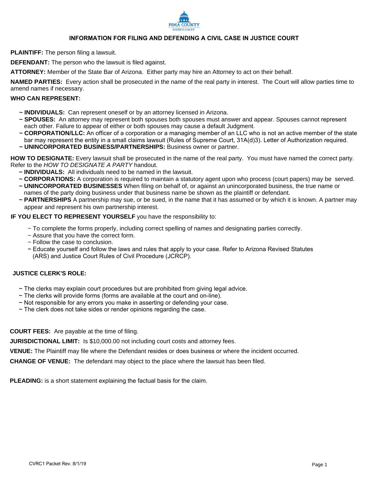

#### **INFORMATION FOR FILING AND DEFENDING A CIVIL CASE IN JUSTICE COURT**

**PLAINTIFF:** The person filing a lawsuit.

**DEFENDANT:** The person who the lawsuit is filed against.

**ATTORNEY:** Member of the State Bar of Arizona. Either party may hire an Attorney to act on their behalf.

**NAMED PARTIES:** Every action shall be prosecuted in the name of the real party in interest. The Court will allow parties time to amend names if necessary.

#### **WHO CAN REPRESENT:**

- **~ INDIVIDUALS:** Can represent oneself or by an attorney licensed in Arizona.
- **~ SPOUSES:** An attorney may represent both spouses both spouses must answer and appear. Spouses cannot represent each other. Failure to appear of either or both spouses may cause a default Judgment.
- **~ CORPORATION/LLC:** An officer of a corporation or a managing member of an LLC who is not an active member of the state bar may represent the entity in a small claims lawsuit (Rules of Supreme Court, 31A(d)3). Letter of Authorization required.
- **~ UNINCORPORATED BUSINESS/PARTNERSHIPS:** Business owner or partner.

**HOW TO DESIGNATE:** Every lawsuit shall be prosecuted in the name of the real party. You must have named the correct party. Refer to the *HOW TO DESIGNATE A PARTY* handout.

- **~ INDIVIDUALS:** All individuals need to be named in the lawsuit.
- **~ CORPORATIONS:** A corporation is required to maintain a statutory agent upon who process (court papers) may be served.
- **~ UNINCORPORATED BUSINESSES** When filing on behalf of, or against an unincorporated business, the true name or names of the party doing business under that business name be shown as the plaintiff or defendant.
- **~ PARTNERSHIPS** A partnership may sue, or be sued, in the name that it has assumed or by which it is known. A partner may appear and represent his own partnership interest.

**IF YOU ELECT TO REPRESENT YOURSELF** you have the responsibility to:

- ~ To complete the forms properly, including correct spelling of names and designating parties correctly.
- ~ Assure that you have the correct form.
- ~ Follow the case to conclusion.
- ~ Educate yourself and follow the laws and rules that apply to your case. Refer to Arizona Revised Statutes (ARS) and Justice Court Rules of Civil Procedure (JCRCP).

#### **JUSTICE CLERK'S ROLE:**

- $\sim$  The clerks may explain court procedures but are prohibited from giving legal advice.
- ~ The clerks will provide forms (forms are available at the court and on-line).
- ~ Not responsible for any errors you make in asserting or defending your case.
- $\sim$  The clerk does not take sides or render opinions regarding the case.

**COURT FEES:** Are payable at the time of filing.

**JURISDICTIONAL LIMIT:** Is \$10,000.00 not including court costs and attorney fees.

**VENUE:** The Plaintiff may file where the Defendant resides or does business or where the incident occurred.

**CHANGE OF VENUE:** The defendant may object to the place where the lawsuit has been filed.

**PLEADING:** is a short statement explaining the factual basis for the claim.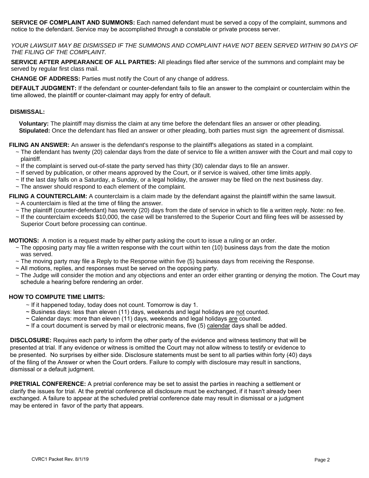**SERVICE OF COMPLAINT AND SUMMONS:** Each named defendant must be served a copy of the complaint, summons and notice to the defendant. Service may be accomplished through a constable or private process server.

*YOUR LAWSUIT MAY BE DISMISSED IF THE SUMMONS AND COMPLAINT HAVE NOT BEEN SERVED WITHIN 90 DAYS OF THE FILING OF THE COMPLAINT.*

**SERVICE AFTER APPEARANCE OF ALL PARTIES:** All pleadings filed after service of the summons and complaint may be served by regular first class mail.

**CHANGE OF ADDRESS:** Parties must notify the Court of any change of address.

**DEFAULT JUDGMENT:** If the defendant or counter-defendant fails to file an answer to the complaint or counterclaim within the time allowed, the plaintiff or counter-claimant may apply for entry of default.

#### **DISMISSAL:**

 **Voluntary:** The plaintiff may dismiss the claim at any time before the defendant files an answer or other pleading.  **Stipulated:** Once the defendant has filed an answer or other pleading, both parties must sign the agreement of dismissal.

**FILING AN ANSWER:** An answer is the defendant's response to the plaintiff's allegations as stated in a complaint.

- ~ The defendant has twenty (20) calendar days from the date of service to file a written answer with the Court and mail copy to plaintiff.
- ~ If the complaint is served out-of-state the party served has thirty (30) calendar days to file an answer.
- ~ If served by publication, or other means approved by the Court, or if service is waived, other time limits apply.
- $\sim$  If the last day falls on a Saturday, a Sunday, or a legal holiday, the answer may be filed on the next business day.
- ~ The answer should respond to each element of the complaint.

**FILING A COUNTERCLAIM:** A counterclaim is a claim made by the defendant against the plaintiff within the same lawsuit.

- $\sim$  A counterclaim is filed at the time of filing the answer.
- $\sim$  The plaintiff (counter-defendant) has twenty (20) days from the date of service in which to file a written reply. Note: no fee.
- ~ If the counterclaim exceeds \$10,000, the case will be transferred to the Superior Court and filing fees will be assessed by Superior Court before processing can continue.

**MOTIONS:** A motion is a request made by either party asking the court to issue a ruling or an order.

- $\sim$  The opposing party may file a written response with the court within ten (10) business days from the date the motion was served.
- ~ The moving party may file a Reply to the Response within five (5) business days from receiving the Response.
- ~ All motions, replies, and responses must be served on the opposing party.
- ~ The Judge will consider the motion and any objections and enter an order either granting or denying the motion. The Court may schedule a hearing before rendering an order.

#### **HOW TO COMPUTE TIME LIMITS:**

- ~ If it happened today, today does not count. Tomorrow is day 1.
- ~ Business days: less than eleven (11) days, weekends and legal holidays are not counted.
- $\sim$  Calendar days: more than eleven (11) days, weekends and legal holidays are counted.
- $\sim$  If a court document is served by mail or electronic means, five (5) calendar days shall be added.

**DISCLOSURE:** Requires each party to inform the other party of the evidence and witness testimony that will be presented at trial. If any evidence or witness is omitted the Court may not allow witness to testify or evidence to be presented. No surprises by either side. Disclosure statements must be sent to all parties within forty (40) days of the filing of the Answer or when the Court orders. Failure to comply with disclosure may result in sanctions, dismissal or a default judgment.

**PRETRIAL CONFERENCE:** A pretrial conference may be set to assist the parties in reaching a settlement or clarify the issues for trial. At the pretrial conference all disclosure must be exchanged, if it hasn't already been exchanged. A failure to appear at the scheduled pretrial conference date may result in dismissal or a judgment may be entered in favor of the party that appears.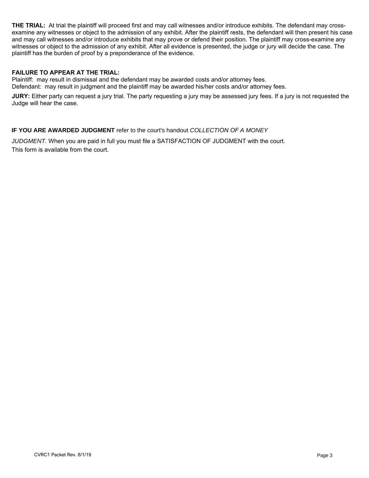**THE TRIAL:** At trial the plaintiff will proceed first and may call witnesses and/or introduce exhibits. The defendant may crossexamine any witnesses or object to the admission of any exhibit. After the plaintiff rests, the defendant will then present his case and may call witnesses and/or introduce exhibits that may prove or defend their position. The plaintiff may cross-examine any witnesses or object to the admission of any exhibit. After all evidence is presented, the judge or jury will decide the case. The plaintiff has the burden of proof by a preponderance of the evidence.

#### **FAILURE TO APPEAR AT THE TRIAL:**

Plaintiff: may result in dismissal and the defendant may be awarded costs and/or attorney fees. Defendant: may result in judgment and the plaintiff may be awarded his/her costs and/or attorney fees.

**JURY:** Either party can request a jury trial. The party requesting a jury may be assessed jury fees. If a jury is not requested the Judge will hear the case.

#### **IF YOU ARE AWARDED JUDGMENT** refer to the court's handout *COLLECTION OF A MONEY*

*JUDGMENT.* When you are paid in full you must file a SATISFACTION OF JUDGMENT with the court. This form is available from the court.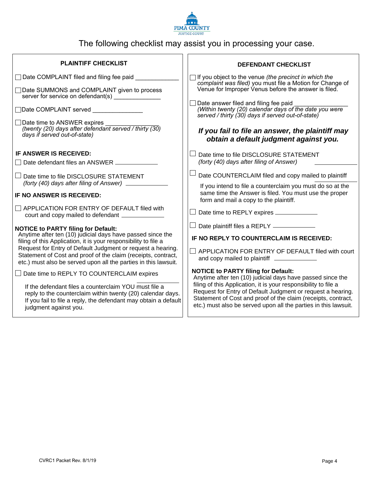

## The following checklist may assist you in processing your case.

| <b>PLAINTIFF CHECKLIST</b>                                                                                                                                                                                                                                                                                                                                                     | <b>DEFENDANT CHECKLIST</b>                                                                                                                                                                                                                                         |
|--------------------------------------------------------------------------------------------------------------------------------------------------------------------------------------------------------------------------------------------------------------------------------------------------------------------------------------------------------------------------------|--------------------------------------------------------------------------------------------------------------------------------------------------------------------------------------------------------------------------------------------------------------------|
| □ Date COMPLAINT filed and filing fee paid                                                                                                                                                                                                                                                                                                                                     | $\Box$ If you object to the venue (the precinct in which the<br>complaint was filed) you must file a Motion for Change of                                                                                                                                          |
| Date SUMMONS and COMPLAINT given to process<br>server for service on defendant(s)                                                                                                                                                                                                                                                                                              | Venue for Improper Venus before the answer is filed.                                                                                                                                                                                                               |
| Date COMPLAINT served                                                                                                                                                                                                                                                                                                                                                          | $\Box$ Date answer filed and filing fee paid<br>(Within twenty (20) calendar days of the date you were<br>served / thirty (30) days if served out-of-state)                                                                                                        |
| $\Box$ Date time to ANSWER expires<br>(twenty (20) days after defendant served / thirty (30)<br>days if served out-of-state)                                                                                                                                                                                                                                                   | If you fail to file an answer, the plaintiff may<br>obtain a default judgment against you.                                                                                                                                                                         |
| IF ANSWER IS RECEIVED:                                                                                                                                                                                                                                                                                                                                                         | Date time to file DISCLOSURE STATEMENT<br>(forty (40) days after filing of Answer)                                                                                                                                                                                 |
|                                                                                                                                                                                                                                                                                                                                                                                |                                                                                                                                                                                                                                                                    |
| Date time to file DISCLOSURE STATEMENT                                                                                                                                                                                                                                                                                                                                         | Date COUNTERCLAIM filed and copy mailed to plaintiff                                                                                                                                                                                                               |
| (forty (40) days after filing of Answer) _______________<br>IF NO ANSWER IS RECEIVED:                                                                                                                                                                                                                                                                                          | If you intend to file a counterclaim you must do so at the<br>same time the Answer is filed. You must use the proper<br>form and mail a copy to the plaintiff.                                                                                                     |
| $\Box$ APPLICATION FOR ENTRY OF DEFAULT filed with<br>court and copy mailed to defendant ______________                                                                                                                                                                                                                                                                        | $\Box$ Date time to REPLY expires $\_\_$                                                                                                                                                                                                                           |
| <b>NOTICE to PARTY filing for Default:</b><br>Anytime after ten (10) judicial days have passed since the<br>filing of this Application, it is your responsibility to file a<br>Request for Entry of Default Judgment or request a hearing.<br>Statement of Cost and proof of the claim (receipts, contract,<br>etc.) must also be served upon all the parties in this lawsuit. | Date plaintiff files a REPLY ___________                                                                                                                                                                                                                           |
|                                                                                                                                                                                                                                                                                                                                                                                | IF NO REPLY TO COUNTERCLAIM IS RECEIVED:                                                                                                                                                                                                                           |
|                                                                                                                                                                                                                                                                                                                                                                                | APPLICATION FOR ENTRY OF DEFAULT filed with court<br>and copy mailed to plaintiff ________________                                                                                                                                                                 |
| $\Box$ Date time to REPLY TO COUNTERCLAIM expires                                                                                                                                                                                                                                                                                                                              | <b>NOTICE to PARTY filing for Default:</b><br>Anytime after ten (10) judicial days have passed since the                                                                                                                                                           |
| If the defendant files a counterclaim YOU must file a<br>reply to the counterclaim within twenty (20) calendar days.<br>If you fail to file a reply, the defendant may obtain a default<br>judgment against you.                                                                                                                                                               | filing of this Application, it is your responsibility to file a<br>Request for Entry of Default Judgment or request a hearing.<br>Statement of Cost and proof of the claim (receipts, contract,<br>etc.) must also be served upon all the parties in this lawsuit. |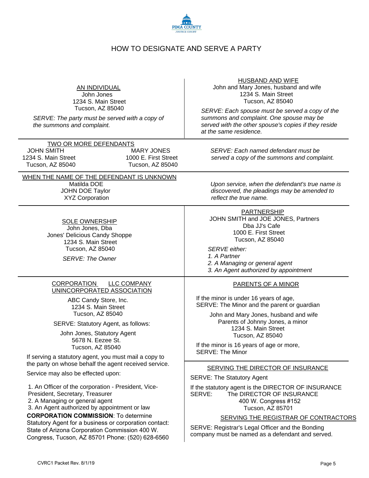

#### HOW TO DESIGNATE AND SERVE A PARTY

| AN INDIVIDUAL |
|---------------|
|               |

John Jones 1234 S. Main Street Tucson, AZ 85040

*SERVE: The party must be served with a copy of the summons and complaint.*

TWO OR MORE DEFENDANTS JOHN SMITH 1234 S. Main Street Tucson, AZ 85040 MARY JONES 1000 E. First Street Tucson, AZ 85040

#### WHEN THE NAME OF THE DEFENDANT IS UNKNOWN

SOLE OWNERSHIP John Jones, Dba Jones' Delicious Candy Shoppe 1234 S. Main Street Tucson, AZ 85040

*SERVE: The Owner*

#### CORPORATION LLC COMPANY UNINCORPORATED ASSOCIATION

ABC Candy Store, Inc. 1234 S. Main Street Tucson, AZ 85040

SERVE: Statutory Agent, as follows:

John Jones, Statutory Agent 5678 N. Eezee St. Tucson, AZ 85040

If serving a statutory agent, you must mail a copy to the party on whose behalf the agent received service.

Service may also be effected upon:

1. An Officer of the corporation - President, Vice-President, Secretary, Treasurer

2. A Managing or general agent

3. An Agent authorized by appointment or law

**CORPORATION COMMISSION**: To determine

Statutory Agent for a business or corporation contact: State of Arizona Corporation Commission 400 W. Congress, Tucson, AZ 85701 Phone: (520) 628-6560

HUSBAND AND WIFE

 John and Mary Jones, husband and wife 1234 S. Main Street Tucson, AZ 85040

*SERVE: Each spouse must be served a copy of the summons and complaint. One spouse may be served with the other spouse's copies if they reside at the same residence.*

*SERVE: Each named defendant must be served a copy of the summons and complaint.*

Matilda DOE *Upon service, when the defendant's true name is* JOHN DOE Taylor *discovered, the pleadings may be amended to* XYZ Corporation *reflect the true name.*

PARTNERSHIP

 JOHN SMITH and JOE JONES, Partners Dba JJ's Cafe 1000 E. First Street Tucson, AZ 85040

*SERVE either:*

*1. A Partner 2. A Managing or general agent*

*3. An Agent authorized by appointment*

#### PARENTS OF A MINOR

If the minor is under 16 years of age, SERVE: The Minor and the parent or guardian

 John and Mary Jones, husband and wife Parents of Johnny Jones, a minor 1234 S. Main Street Tucson, AZ 85040

If the minor is 16 years of age or more, SERVE: The Minor

#### SERVING THE DIRECTOR OF INSURANCE

SERVE: The Statutory Agent

If the statutory agent is the DIRECTOR OF INSURANCE SERVE: The DIRECTOR OF INSURANCE 400 W. Congress #152 Tucson, AZ 85701

#### SERVING THE REGISTRAR OF CONTRACTORS

SERVE: Registrar's Legal Officer and the Bonding company must be named as a defendant and served.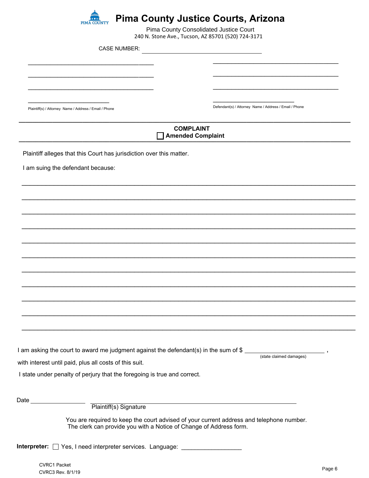

### **Pima County Justice Courts, Arizona**

\_\_\_\_\_\_\_\_\_\_\_\_\_\_\_\_\_\_\_\_\_\_\_\_\_\_\_\_\_\_\_\_\_\_ \_\_\_\_\_\_\_\_\_\_\_\_\_\_\_\_\_\_\_\_\_\_\_\_\_\_\_\_\_\_\_\_\_\_ \_\_\_\_\_\_\_\_\_\_\_\_\_\_\_\_\_\_\_\_\_\_\_\_\_\_\_\_\_\_\_\_\_\_ \_\_\_\_\_\_\_\_\_\_\_\_\_\_\_\_\_\_\_\_\_\_ Plaintiff(s) / Attorney Name / Address / Email / Phone  $\overline{\phantom{a}}$  , where  $\overline{\phantom{a}}$  , where  $\overline{\phantom{a}}$  , where  $\overline{\phantom{a}}$  , where  $\overline{\phantom{a}}$  $\overline{\phantom{a}}$  , where  $\overline{\phantom{a}}$  , where  $\overline{\phantom{a}}$  , where  $\overline{\phantom{a}}$  , where  $\overline{\phantom{a}}$  $\overline{\phantom{a}}$  , where  $\overline{\phantom{a}}$  , where  $\overline{\phantom{a}}$  , where  $\overline{\phantom{a}}$  , where  $\overline{\phantom{a}}$  $\overline{\phantom{a}}$  , where  $\overline{\phantom{a}}$  , where  $\overline{\phantom{a}}$ Defendant(s) / Attorney Name / Address / Email / Phone **\_\_\_\_\_\_\_\_\_\_\_\_\_\_\_\_\_\_\_\_\_\_\_\_\_\_\_\_\_\_\_\_\_\_\_\_\_\_\_\_\_\_\_\_\_\_\_\_\_\_\_\_\_\_\_\_\_\_\_\_\_\_\_\_\_\_\_\_\_\_\_\_\_\_\_\_\_\_\_\_\_\_\_\_\_\_\_\_\_\_\_\_\_\_\_\_\_\_\_ COMPLAINT \_\_\_\_\_\_\_\_\_\_\_\_\_\_\_\_\_\_\_\_\_\_\_\_\_\_\_\_\_\_\_\_\_\_\_\_\_\_\_\_\_\_\_\_\_\_\_\_\_\_\_\_\_\_\_\_\_\_\_\_\_\_\_\_\_\_\_\_\_\_\_\_\_\_\_\_\_\_\_\_\_\_\_\_\_\_\_\_\_\_\_\_\_\_\_\_\_\_\_ Amended Complaint** Plaintiff alleges that this Court has jurisdiction over this matter. I am suing the defendant because: \_\_\_\_\_\_\_\_\_\_\_\_\_\_\_\_\_\_\_\_\_\_\_\_\_\_\_\_\_\_\_\_\_\_\_\_\_\_\_\_\_\_\_\_\_\_\_\_\_\_\_\_\_\_\_\_\_\_\_\_\_\_\_\_\_\_\_\_\_\_\_\_\_\_\_\_\_\_\_\_\_\_\_ \_\_\_\_\_\_\_\_\_\_\_\_\_\_\_\_\_\_\_\_\_\_\_\_\_\_\_\_\_\_\_\_\_\_\_\_\_\_\_\_\_\_\_\_\_\_\_\_\_\_\_\_\_\_\_\_\_\_\_\_\_\_\_\_\_\_\_\_\_\_\_\_\_\_\_\_\_\_\_\_\_\_\_ \_\_\_\_\_\_\_\_\_\_\_\_\_\_\_\_\_\_\_\_\_\_\_\_\_\_\_\_\_\_\_\_\_\_\_\_\_\_\_\_\_\_\_\_\_\_\_\_\_\_\_\_\_\_\_\_\_\_\_\_\_\_\_\_\_\_\_\_\_\_\_\_\_\_\_\_\_\_\_\_\_\_\_ \_\_\_\_\_\_\_\_\_\_\_\_\_\_\_\_\_\_\_\_\_\_\_\_\_\_\_\_\_\_\_\_\_\_\_\_\_\_\_\_\_\_\_\_\_\_\_\_\_\_\_\_\_\_\_\_\_\_\_\_\_\_\_\_\_\_\_\_\_\_\_\_\_\_\_\_\_\_\_\_\_\_\_ \_\_\_\_\_\_\_\_\_\_\_\_\_\_\_\_\_\_\_\_\_\_\_\_\_\_\_\_\_\_\_\_\_\_\_\_\_\_\_\_\_\_\_\_\_\_\_\_\_\_\_\_\_\_\_\_\_\_\_\_\_\_\_\_\_\_\_\_\_\_\_\_\_\_\_\_\_\_\_\_\_\_\_ \_\_\_\_\_\_\_\_\_\_\_\_\_\_\_\_\_\_\_\_\_\_\_\_\_\_\_\_\_\_\_\_\_\_\_\_\_\_\_\_\_\_\_\_\_\_\_\_\_\_\_\_\_\_\_\_\_\_\_\_\_\_\_\_\_\_\_\_\_\_\_\_\_\_\_\_\_\_\_\_\_\_\_ \_\_\_\_\_\_\_\_\_\_\_\_\_\_\_\_\_\_\_\_\_\_\_\_\_\_\_\_\_\_\_\_\_\_\_\_\_\_\_\_\_\_\_\_\_\_\_\_\_\_\_\_\_\_\_\_\_\_\_\_\_\_\_\_\_\_\_\_\_\_\_\_\_\_\_\_\_\_\_\_\_\_\_ \_\_\_\_\_\_\_\_\_\_\_\_\_\_\_\_\_\_\_\_\_\_\_\_\_\_\_\_\_\_\_\_\_\_\_\_\_\_\_\_\_\_\_\_\_\_\_\_\_\_\_\_\_\_\_\_\_\_\_\_\_\_\_\_\_\_\_\_\_\_\_\_\_\_\_\_\_\_\_\_\_\_\_ \_\_\_\_\_\_\_\_\_\_\_\_\_\_\_\_\_\_\_\_\_\_\_\_\_\_\_\_\_\_\_\_\_\_\_\_\_\_\_\_\_\_\_\_\_\_\_\_\_\_\_\_\_\_\_\_\_\_\_\_\_\_\_\_\_\_\_\_\_\_\_\_\_\_\_\_\_\_\_\_\_\_\_ \_\_\_\_\_\_\_\_\_\_\_\_\_\_\_\_\_\_\_\_\_\_\_\_\_\_\_\_\_\_\_\_\_\_\_\_\_\_\_\_\_\_\_\_\_\_\_\_\_\_\_\_\_\_\_\_\_\_\_\_\_\_\_\_\_\_\_\_\_\_\_\_\_\_\_\_\_\_\_\_\_\_\_ \_\_\_\_\_\_\_\_\_\_\_\_\_\_\_\_\_\_\_\_\_\_\_\_\_\_\_\_\_\_\_\_\_\_\_\_\_\_\_\_\_\_\_\_\_\_\_\_\_\_\_\_\_\_\_\_\_\_\_\_\_\_\_\_\_\_\_\_\_\_\_\_\_\_\_\_\_\_\_\_\_\_\_ I am asking the court to award me judgment against the defendant(s) in the sum of \$ (state claimed damages) I state under penalty of perjury that the foregoing is true and correct. , with interest until paid, plus all costs of this suit. Date Plaintiff(s) Signature You are required to keep the court advised of your current address and telephone number. The clerk can provide you with a Notice of Change of Address form. 240 N. Stone Ave., Tucson, AZ 85701 (520) 724-3171<br>CASE NUMBER: Pain Scuese Ave., Tucoos, A7 85701 (376) (7343<br>
CASE NUMBER:<br>
CASE NUMBER:<br>
COMPLANNT<br>
COMPLANNT<br>
COMPLANNT<br>
COMPLANNT<br>
COMPLANNT<br>
COMPLANNT<br>
COMPLANNT<br>
CONSISTENCIAL COURT INTEREST CONSISTENT (2014)<br>
CONSISTENT CONSISTEN

Interpreter:  $\Box$  Yes, I need interpreter services. Language: \_\_\_\_\_\_\_\_\_\_\_\_\_\_\_\_\_\_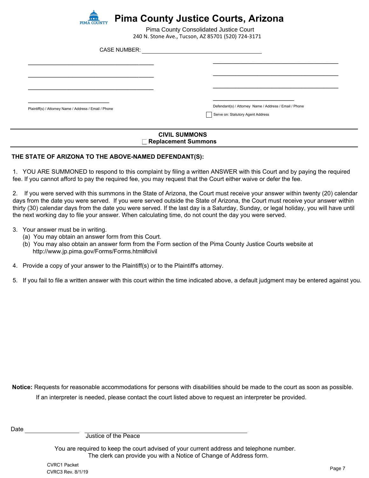

|                                                                                                                                                                                                                                                     | Pima County Consolidated Justice Court<br>240 N. Stone Ave., Tucson, AZ 85701 (520) 724-3171                                                                                                                                                                                                                                                                                         |
|-----------------------------------------------------------------------------------------------------------------------------------------------------------------------------------------------------------------------------------------------------|--------------------------------------------------------------------------------------------------------------------------------------------------------------------------------------------------------------------------------------------------------------------------------------------------------------------------------------------------------------------------------------|
| <b>CASE NUMBER:</b>                                                                                                                                                                                                                                 |                                                                                                                                                                                                                                                                                                                                                                                      |
|                                                                                                                                                                                                                                                     |                                                                                                                                                                                                                                                                                                                                                                                      |
|                                                                                                                                                                                                                                                     |                                                                                                                                                                                                                                                                                                                                                                                      |
| Plaintiff(s) / Attorney Name / Address / Email / Phone                                                                                                                                                                                              | Defendant(s) / Attorney Name / Address / Email / Phone                                                                                                                                                                                                                                                                                                                               |
|                                                                                                                                                                                                                                                     | Serve on: Statutory Agent Address                                                                                                                                                                                                                                                                                                                                                    |
|                                                                                                                                                                                                                                                     | <b>CIVIL SUMMONS</b><br>Replacement Summons                                                                                                                                                                                                                                                                                                                                          |
| E STATE OF ARIZONA TO THE ABOVE-NAMED DEFENDANT(S):                                                                                                                                                                                                 |                                                                                                                                                                                                                                                                                                                                                                                      |
| . If you cannot afford to pay the required fee, you may request that the Court either waive or defer the fee.                                                                                                                                       | YOU ARE SUMMONED to respond to this complaint by filing a written ANSWER with this Court and by paying the require                                                                                                                                                                                                                                                                   |
| next working day to file your answer. When calculating time, do not count the day you were served.                                                                                                                                                  | If you were served with this summons in the State of Arizona, the Court must receive your answer within twenty (20) cale<br>s from the date you were served. If you were served outside the State of Arizona, the Court must receive your answer wi<br>ly (30) calendar days from the date you were served. If the last day is a Saturday, Sunday, or legal holiday, you will have ⊦ |
| Your answer must be in writing.<br>(a) You may obtain an answer form from this Court.<br>(b) You may also obtain an answer form from the Form section of the Pima County Justice Courts website at<br>http://www.jp.pima.gov/Forms/Forms.html#civil |                                                                                                                                                                                                                                                                                                                                                                                      |
| Provide a copy of your answer to the Plaintiff(s) or to the Plaintiff's attorney.                                                                                                                                                                   |                                                                                                                                                                                                                                                                                                                                                                                      |
|                                                                                                                                                                                                                                                     | If you fail to file a written answer with this court within the time indicated above, a default judgment may be entered again                                                                                                                                                                                                                                                        |
|                                                                                                                                                                                                                                                     |                                                                                                                                                                                                                                                                                                                                                                                      |
|                                                                                                                                                                                                                                                     |                                                                                                                                                                                                                                                                                                                                                                                      |
|                                                                                                                                                                                                                                                     |                                                                                                                                                                                                                                                                                                                                                                                      |
|                                                                                                                                                                                                                                                     |                                                                                                                                                                                                                                                                                                                                                                                      |
|                                                                                                                                                                                                                                                     |                                                                                                                                                                                                                                                                                                                                                                                      |
|                                                                                                                                                                                                                                                     | ice: Requests for reasonable accommodations for persons with disabilities should be made to the court as soon as possil                                                                                                                                                                                                                                                              |
| If an interpreter is needed, please contact the court listed above to request an interpreter be provided.                                                                                                                                           |                                                                                                                                                                                                                                                                                                                                                                                      |
| Justice of the Peace                                                                                                                                                                                                                                |                                                                                                                                                                                                                                                                                                                                                                                      |
|                                                                                                                                                                                                                                                     | You are required to keep the court advised of your current address and telephone number.<br>The clerk can provide you with a Notice of Change of Address form.                                                                                                                                                                                                                       |
| <b>CVRC1 Packet</b><br>CVRC3 Rev. 8/1/19                                                                                                                                                                                                            | Page 7                                                                                                                                                                                                                                                                                                                                                                               |

#### **CIVIL SUMMONS Replacement Summons**

#### **THE STATE OF ARIZONA TO THE ABOVE-NAMED DEFENDANT(S):**

2. If you were served with this summons in the State of Arizona, the Court must receive your answer within twenty (20) calendar days from the date you were served. If you were served outside the State of Arizona, the Court must receive your answer within thirty (30) calendar days from the date you were served. If the last day is a Saturday, Sunday, or legal holiday, you will have until the next working day to file your answer. When calculating time, do not count the day you were served.

#### 3. Your answer must be in writing.

- (a) You may obtain an answer form from this Court.
- (b) You may also obtain an answer form from the Form section of the Pima County Justice Courts website at http://www.jp.pima.gov/Forms/Forms.html#civil
- 4. Provide a copy of your answer to the Plaintiff(s) or to the Plaintiff's attorney.
- 5. If you fail to file a written answer with this court within the time indicated above, a default judgment may be entered against you.

**Notice:** Requests for reasonable accommodations for persons with disabilities should be made to the court as soon as possible.

Date